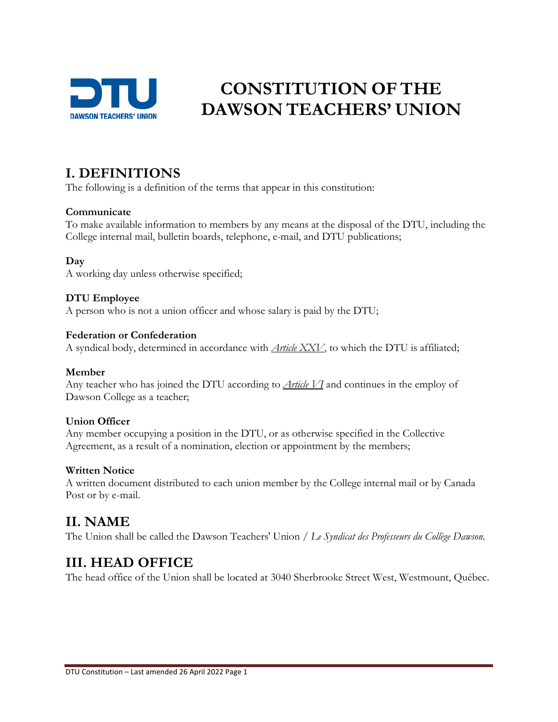

# **CONSTITUTION OF THE DAWSON TEACHERS' UNION**

#### **I. DEFINITIONS**

The following is a definition of the terms that appear in this constitution:

#### **Communicate**

To make available information to members by any means at the disposal of the DTU, including the College internal mail, bulletin boards, telephone, e-mail, and DTU publications;

#### **Day**

A working day unless otherwise specified;

#### **DTU Employee**

A person who is not a union officer and whose salary is paid by the DTU;

#### **Federation or Confederation**

A syndical body, determined in accordance with *Article XXV*, to which the DTU is affiliated;

#### **Member**

Any teacher who has joined the DTU according to *Article VI* and continues in the employ of Dawson College as a teacher;

#### **Union Officer**

Any member occupying a position in the DTU, or as otherwise specified in the Collective Agreement, as a result of a nomination, election or appointment by the members;

#### **Written Notice**

A written document distributed to each union member by the College internal mail or by Canada Post or by e-mail.

#### **II. NAME**

The Union shall be called the Dawson Teachers' Union */ Le Syndicat des Professeurs du Collège Dawson.*

### **III. HEAD OFFICE**

The head office of the Union shall be located at 3040 Sherbrooke Street West, Westmount, Québec.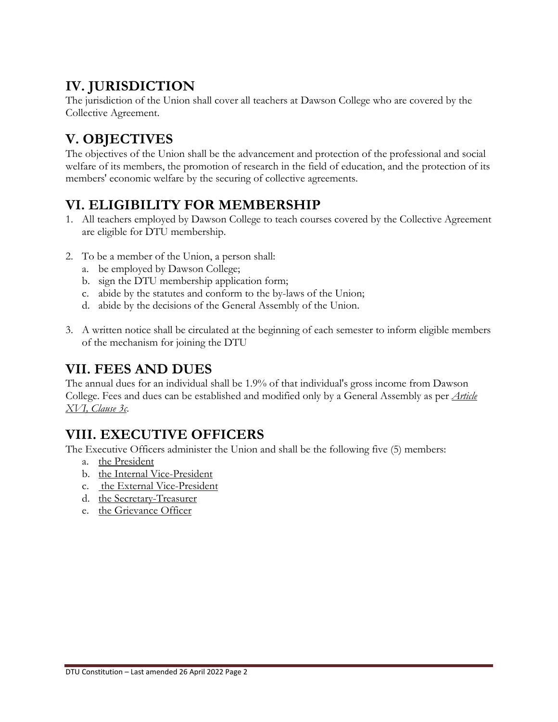# **IV. JURISDICTION**

The jurisdiction of the Union shall cover all teachers at Dawson College who are covered by the Collective Agreement.

# **V. OBJECTIVES**

The objectives of the Union shall be the advancement and protection of the professional and social welfare of its members, the promotion of research in the field of education, and the protection of its members' economic welfare by the securing of collective agreements.

# **VI. ELIGIBILITY FOR MEMBERSHIP**

- 1. All teachers employed by Dawson College to teach courses covered by the Collective Agreement are eligible for DTU membership.
- 2. To be a member of the Union, a person shall:
	- a. be employed by Dawson College;
	- b. sign the DTU membership application form;
	- c. abide by the statutes and conform to the by-laws of the Union;
	- d. abide by the decisions of the General Assembly of the Union.
- 3. A written notice shall be circulated at the beginning of each semester to inform eligible members of the mechanism for joining the DTU

#### **VII. FEES AND DUES**

The annual dues for an individual shall be 1.9% of that individual's gross income from Dawson College. Fees and dues can be established and modified only by a General Assembly as per *Article XVI, Clause 3c*.

## **VIII. EXECUTIVE OFFICERS**

The Executive Officers administer the Union and shall be the following five (5) members:

- a. the President
- b. the Internal Vice-President
- c. the External Vice-President
- d. the Secretary-Treasurer
- e. the Grievance Officer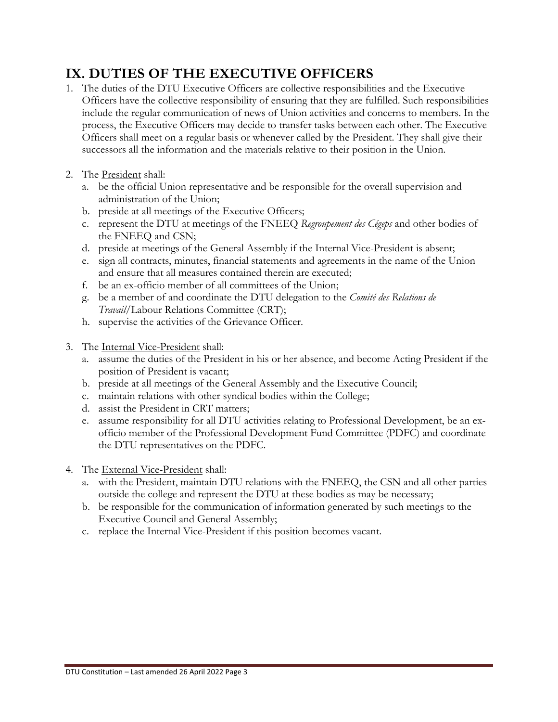# **IX. DUTIES OF THE EXECUTIVE OFFICERS**

- 1. The duties of the DTU Executive Officers are collective responsibilities and the Executive Officers have the collective responsibility of ensuring that they are fulfilled. Such responsibilities include the regular communication of news of Union activities and concerns to members. In the process, the Executive Officers may decide to transfer tasks between each other. The Executive Officers shall meet on a regular basis or whenever called by the President. They shall give their successors all the information and the materials relative to their position in the Union.
- 2. The President shall:
	- a. be the official Union representative and be responsible for the overall supervision and administration of the Union;
	- b. preside at all meetings of the Executive Officers;
	- c. represent the DTU at meetings of the FNEEQ *Regroupement des Cégeps* and other bodies of the FNEEQ and CSN;
	- d. preside at meetings of the General Assembly if the Internal Vice-President is absent;
	- e. sign all contracts, minutes, financial statements and agreements in the name of the Union and ensure that all measures contained therein are executed;
	- f. be an ex-officio member of all committees of the Union;
	- g. be a member of and coordinate the DTU delegation to the *Comité des Relations de Travail*/Labour Relations Committee (CRT);
	- h. supervise the activities of the Grievance Officer.
- 3. The Internal Vice-President shall:
	- a. assume the duties of the President in his or her absence, and become Acting President if the position of President is vacant;
	- b. preside at all meetings of the General Assembly and the Executive Council;
	- c. maintain relations with other syndical bodies within the College;
	- d. assist the President in CRT matters;
	- e. assume responsibility for all DTU activities relating to Professional Development, be an exofficio member of the Professional Development Fund Committee (PDFC) and coordinate the DTU representatives on the PDFC.
- 4. The External Vice-President shall:
	- a. with the President, maintain DTU relations with the FNEEQ, the CSN and all other parties outside the college and represent the DTU at these bodies as may be necessary;
	- b. be responsible for the communication of information generated by such meetings to the Executive Council and General Assembly;
	- c. replace the Internal Vice-President if this position becomes vacant.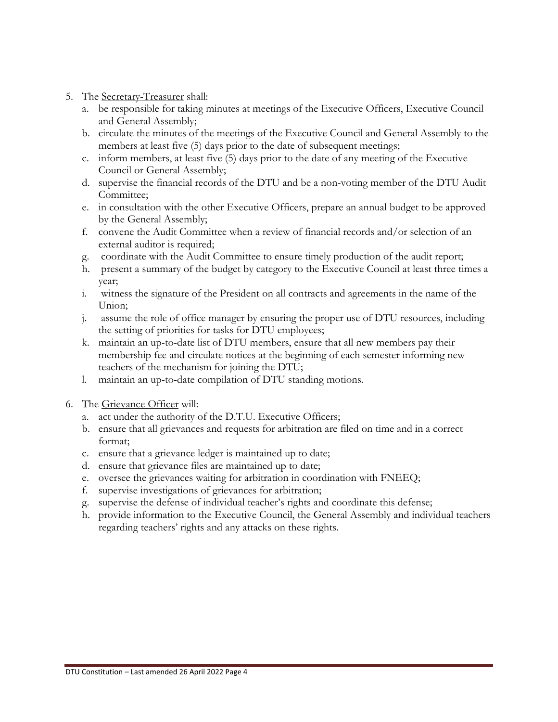- 5. The Secretary-Treasurer shall:
	- a. be responsible for taking minutes at meetings of the Executive Officers, Executive Council and General Assembly;
	- b. circulate the minutes of the meetings of the Executive Council and General Assembly to the members at least five (5) days prior to the date of subsequent meetings;
	- c. inform members, at least five (5) days prior to the date of any meeting of the Executive Council or General Assembly;
	- d. supervise the financial records of the DTU and be a non-voting member of the DTU Audit Committee:
	- e. in consultation with the other Executive Officers, prepare an annual budget to be approved by the General Assembly;
	- f. convene the Audit Committee when a review of financial records and/or selection of an external auditor is required;
	- g. coordinate with the Audit Committee to ensure timely production of the audit report;
	- h. present a summary of the budget by category to the Executive Council at least three times a year;
	- i. witness the signature of the President on all contracts and agreements in the name of the Union;
	- j. assume the role of office manager by ensuring the proper use of DTU resources, including the setting of priorities for tasks for DTU employees;
	- k. maintain an up-to-date list of DTU members, ensure that all new members pay their membership fee and circulate notices at the beginning of each semester informing new teachers of the mechanism for joining the DTU;
	- l. maintain an up-to-date compilation of DTU standing motions.
- 6. The Grievance Officer will:
	- a. act under the authority of the D.T.U. Executive Officers;
	- b. ensure that all grievances and requests for arbitration are filed on time and in a correct format;
	- c. ensure that a grievance ledger is maintained up to date;
	- d. ensure that grievance files are maintained up to date;
	- e. oversee the grievances waiting for arbitration in coordination with FNEEQ;
	- f. supervise investigations of grievances for arbitration;
	- g. supervise the defense of individual teacher's rights and coordinate this defense;
	- h. provide information to the Executive Council, the General Assembly and individual teachers regarding teachers' rights and any attacks on these rights.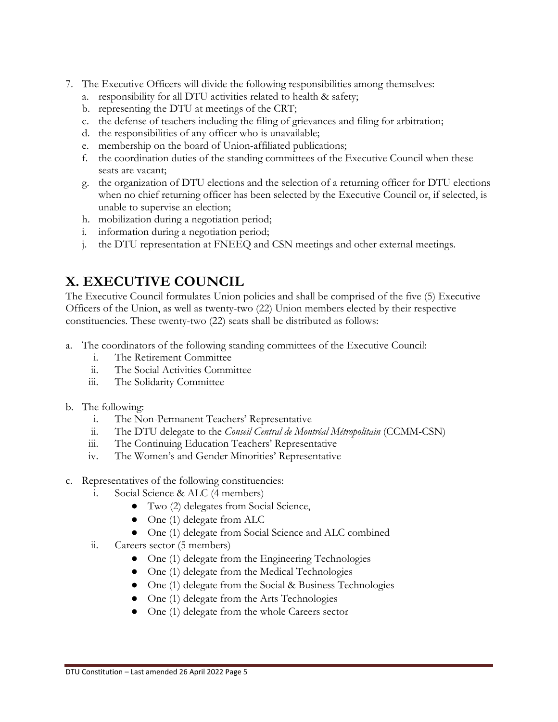- 7. The Executive Officers will divide the following responsibilities among themselves:
	- a. responsibility for all DTU activities related to health & safety;
	- b. representing the DTU at meetings of the CRT;
	- c. the defense of teachers including the filing of grievances and filing for arbitration;
	- d. the responsibilities of any officer who is unavailable;
	- e. membership on the board of Union-affiliated publications;
	- f. the coordination duties of the standing committees of the Executive Council when these seats are vacant;
	- g. the organization of DTU elections and the selection of a returning officer for DTU elections when no chief returning officer has been selected by the Executive Council or, if selected, is unable to supervise an election;
	- h. mobilization during a negotiation period;
	- i. information during a negotiation period;
	- j. the DTU representation at FNEEQ and CSN meetings and other external meetings.

# **X. EXECUTIVE COUNCIL**

The Executive Council formulates Union policies and shall be comprised of the five (5) Executive Officers of the Union, as well as twenty-two (22) Union members elected by their respective constituencies. These twenty-two (22) seats shall be distributed as follows:

- a. The coordinators of the following standing committees of the Executive Council:
	- i. The Retirement Committee
	- ii. The Social Activities Committee
	- iii. The Solidarity Committee
- b. The following:
	- i. The Non-Permanent Teachers' Representative
	- ii. The DTU delegate to the *Conseil Central de Montréal Métropolitain* (CCMM-CSN)
	- iii. The Continuing Education Teachers' Representative
	- iv. The Women's and Gender Minorities' Representative
- c. Representatives of the following constituencies:
	- i. Social Science & ALC (4 members)
		- Two (2) delegates from Social Science,
		- One (1) delegate from ALC
		- One (1) delegate from Social Science and ALC combined
	- ii. Careers sector (5 members)
		- One (1) delegate from the Engineering Technologies
		- One (1) delegate from the Medical Technologies
		- One (1) delegate from the Social & Business Technologies
		- One (1) delegate from the Arts Technologies
		- One (1) delegate from the whole Careers sector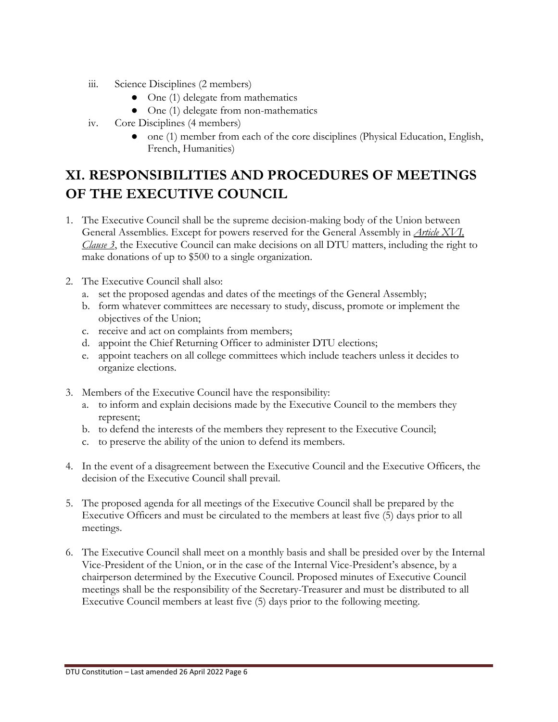- iii. Science Disciplines (2 members)
	- One (1) delegate from mathematics
	- One (1) delegate from non-mathematics
- iv. Core Disciplines (4 members)
	- one (1) member from each of the core disciplines (Physical Education, English, French, Humanities)

# **XI. RESPONSIBILITIES AND PROCEDURES OF MEETINGS OF THE EXECUTIVE COUNCIL**

- 1. The Executive Council shall be the supreme decision-making body of the Union between General Assemblies. Except for powers reserved for the General Assembly in *Article XVI, Clause 3*, the Executive Council can make decisions on all DTU matters, including the right to make donations of up to \$500 to a single organization.
- 2. The Executive Council shall also:
	- a. set the proposed agendas and dates of the meetings of the General Assembly;
	- b. form whatever committees are necessary to study, discuss, promote or implement the objectives of the Union;
	- c. receive and act on complaints from members;
	- d. appoint the Chief Returning Officer to administer DTU elections;
	- e. appoint teachers on all college committees which include teachers unless it decides to organize elections.
- 3. Members of the Executive Council have the responsibility:
	- a. to inform and explain decisions made by the Executive Council to the members they represent;
	- b. to defend the interests of the members they represent to the Executive Council;
	- c. to preserve the ability of the union to defend its members.
- 4. In the event of a disagreement between the Executive Council and the Executive Officers, the decision of the Executive Council shall prevail.
- 5. The proposed agenda for all meetings of the Executive Council shall be prepared by the Executive Officers and must be circulated to the members at least five (5) days prior to all meetings.
- 6. The Executive Council shall meet on a monthly basis and shall be presided over by the Internal Vice-President of the Union, or in the case of the Internal Vice-President's absence, by a chairperson determined by the Executive Council. Proposed minutes of Executive Council meetings shall be the responsibility of the Secretary-Treasurer and must be distributed to all Executive Council members at least five (5) days prior to the following meeting.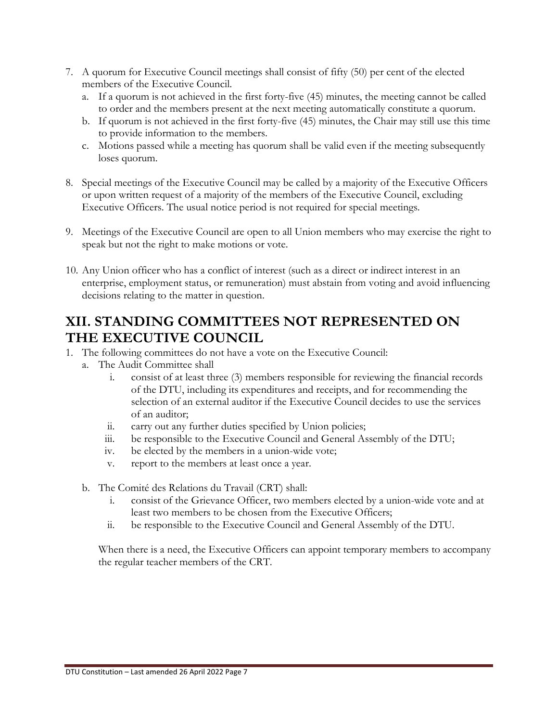- 7. A quorum for Executive Council meetings shall consist of fifty (50) per cent of the elected members of the Executive Council.
	- a. If a quorum is not achieved in the first forty-five (45) minutes, the meeting cannot be called to order and the members present at the next meeting automatically constitute a quorum.
	- b. If quorum is not achieved in the first forty-five (45) minutes, the Chair may still use this time to provide information to the members.
	- c. Motions passed while a meeting has quorum shall be valid even if the meeting subsequently loses quorum.
- 8. Special meetings of the Executive Council may be called by a majority of the Executive Officers or upon written request of a majority of the members of the Executive Council, excluding Executive Officers. The usual notice period is not required for special meetings.
- 9. Meetings of the Executive Council are open to all Union members who may exercise the right to speak but not the right to make motions or vote.
- 10. Any Union officer who has a conflict of interest (such as a direct or indirect interest in an enterprise, employment status, or remuneration) must abstain from voting and avoid influencing decisions relating to the matter in question.

### **XII. STANDING COMMITTEES NOT REPRESENTED ON THE EXECUTIVE COUNCIL**

- 1. The following committees do not have a vote on the Executive Council:
	- a. The Audit Committee shall
		- i. consist of at least three (3) members responsible for reviewing the financial records of the DTU, including its expenditures and receipts, and for recommending the selection of an external auditor if the Executive Council decides to use the services of an auditor;
		- ii. carry out any further duties specified by Union policies;
		- iii. be responsible to the Executive Council and General Assembly of the DTU;
		- iv. be elected by the members in a union-wide vote;
		- v. report to the members at least once a year.
	- b. The Comité des Relations du Travail (CRT) shall:
		- i. consist of the Grievance Officer, two members elected by a union-wide vote and at least two members to be chosen from the Executive Officers;
		- ii. be responsible to the Executive Council and General Assembly of the DTU.

When there is a need, the Executive Officers can appoint temporary members to accompany the regular teacher members of the CRT.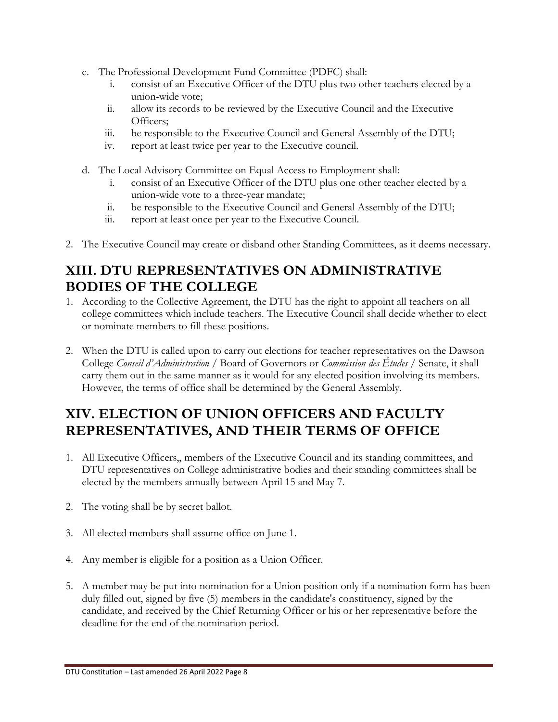- c. The Professional Development Fund Committee (PDFC) shall:
	- i. consist of an Executive Officer of the DTU plus two other teachers elected by a union-wide vote;
	- ii. allow its records to be reviewed by the Executive Council and the Executive Officers;
	- iii. be responsible to the Executive Council and General Assembly of the DTU;
	- iv. report at least twice per year to the Executive council.
- d. The Local Advisory Committee on Equal Access to Employment shall:
	- i. consist of an Executive Officer of the DTU plus one other teacher elected by a union-wide vote to a three-year mandate;
	- ii. be responsible to the Executive Council and General Assembly of the DTU;
	- iii. report at least once per year to the Executive Council.
- 2. The Executive Council may create or disband other Standing Committees, as it deems necessary.

## **XIII. DTU REPRESENTATIVES ON ADMINISTRATIVE BODIES OF THE COLLEGE**

- 1. According to the Collective Agreement, the DTU has the right to appoint all teachers on all college committees which include teachers. The Executive Council shall decide whether to elect or nominate members to fill these positions.
- 2. When the DTU is called upon to carry out elections for teacher representatives on the Dawson College *Conseil d'Administration* / Board of Governors or *Commission des Études* / Senate, it shall carry them out in the same manner as it would for any elected position involving its members. However, the terms of office shall be determined by the General Assembly.

## **XIV. ELECTION OF UNION OFFICERS AND FACULTY REPRESENTATIVES, AND THEIR TERMS OF OFFICE**

- 1. All Executive Officers,, members of the Executive Council and its standing committees, and DTU representatives on College administrative bodies and their standing committees shall be elected by the members annually between April 15 and May 7.
- 2. The voting shall be by secret ballot.
- 3. All elected members shall assume office on June 1.
- 4. Any member is eligible for a position as a Union Officer.
- 5. A member may be put into nomination for a Union position only if a nomination form has been duly filled out, signed by five (5) members in the candidate's constituency, signed by the candidate, and received by the Chief Returning Officer or his or her representative before the deadline for the end of the nomination period.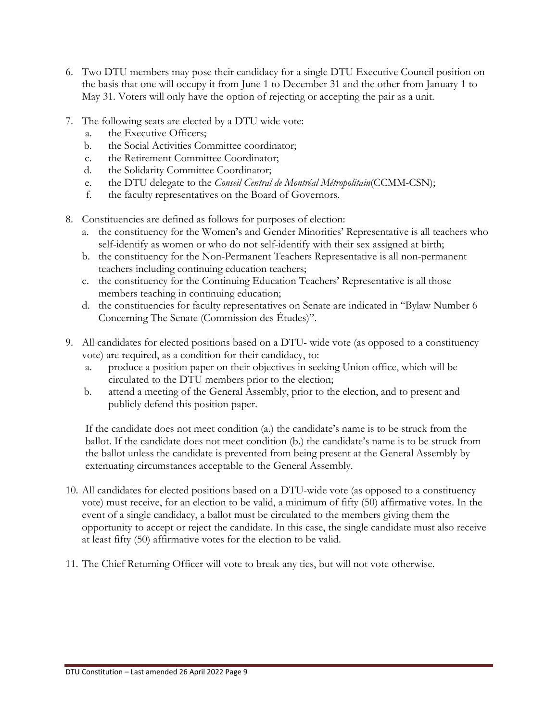- 6. Two DTU members may pose their candidacy for a single DTU Executive Council position on the basis that one will occupy it from June 1 to December 31 and the other from January 1 to May 31. Voters will only have the option of rejecting or accepting the pair as a unit.
- 7. The following seats are elected by a DTU wide vote:
	- a. the Executive Officers;
	- b. the Social Activities Committee coordinator;
	- c. the Retirement Committee Coordinator;
	- d. the Solidarity Committee Coordinator;
	- e. the DTU delegate to the *Conseil Central de Montréal Métropolitain*(CCMM-CSN);
	- f. the faculty representatives on the Board of Governors.
- 8. Constituencies are defined as follows for purposes of election:
	- a. the constituency for the Women's and Gender Minorities' Representative is all teachers who self-identify as women or who do not self-identify with their sex assigned at birth;
	- b. the constituency for the Non-Permanent Teachers Representative is all non-permanent teachers including continuing education teachers;
	- c. the constituency for the Continuing Education Teachers' Representative is all those members teaching in continuing education;
	- d. the constituencies for faculty representatives on Senate are indicated in "Bylaw Number 6 Concerning The Senate (Commission des Études)".
- 9. All candidates for elected positions based on a DTU- wide vote (as opposed to a constituency vote) are required, as a condition for their candidacy, to:
	- a. produce a position paper on their objectives in seeking Union office, which will be circulated to the DTU members prior to the election;
	- b. attend a meeting of the General Assembly, prior to the election, and to present and publicly defend this position paper.

If the candidate does not meet condition (a.) the candidate's name is to be struck from the ballot. If the candidate does not meet condition (b.) the candidate's name is to be struck from the ballot unless the candidate is prevented from being present at the General Assembly by extenuating circumstances acceptable to the General Assembly.

- 10. All candidates for elected positions based on a DTU-wide vote (as opposed to a constituency vote) must receive, for an election to be valid, a minimum of fifty (50) affirmative votes. In the event of a single candidacy, a ballot must be circulated to the members giving them the opportunity to accept or reject the candidate. In this case, the single candidate must also receive at least fifty (50) affirmative votes for the election to be valid.
- 11. The Chief Returning Officer will vote to break any ties, but will not vote otherwise.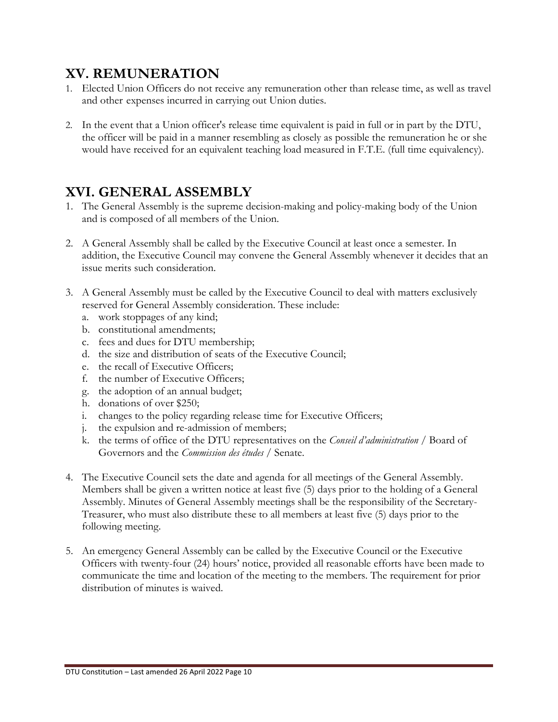### **XV. REMUNERATION**

- 1. Elected Union Officers do not receive any remuneration other than release time, as well as travel and other expenses incurred in carrying out Union duties.
- 2. In the event that a Union officer's release time equivalent is paid in full or in part by the DTU, the officer will be paid in a manner resembling as closely as possible the remuneration he or she would have received for an equivalent teaching load measured in F.T.E. (full time equivalency).

# **XVI. GENERAL ASSEMBLY**

- 1. The General Assembly is the supreme decision-making and policy-making body of the Union and is composed of all members of the Union.
- 2. A General Assembly shall be called by the Executive Council at least once a semester. In addition, the Executive Council may convene the General Assembly whenever it decides that an issue merits such consideration.
- 3. A General Assembly must be called by the Executive Council to deal with matters exclusively reserved for General Assembly consideration. These include:
	- a. work stoppages of any kind;
	- b. constitutional amendments;
	- c. fees and dues for DTU membership;
	- d. the size and distribution of seats of the Executive Council;
	- e. the recall of Executive Officers;
	- f. the number of Executive Officers;
	- g. the adoption of an annual budget;
	- h. donations of over \$250;
	- i. changes to the policy regarding release time for Executive Officers;
	- j. the expulsion and re-admission of members;
	- k. the terms of office of the DTU representatives on the *Conseil d'administration* / Board of Governors and the *Commission des études* / Senate.
- 4. The Executive Council sets the date and agenda for all meetings of the General Assembly. Members shall be given a written notice at least five (5) days prior to the holding of a General Assembly. Minutes of General Assembly meetings shall be the responsibility of the Secretary-Treasurer, who must also distribute these to all members at least five (5) days prior to the following meeting.
- 5. An emergency General Assembly can be called by the Executive Council or the Executive Officers with twenty-four (24) hours' notice, provided all reasonable efforts have been made to communicate the time and location of the meeting to the members. The requirement for prior distribution of minutes is waived.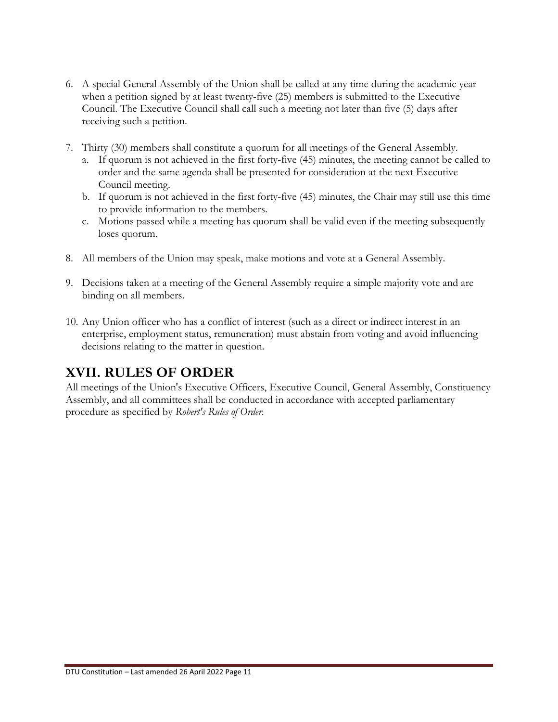- 6. A special General Assembly of the Union shall be called at any time during the academic year when a petition signed by at least twenty-five (25) members is submitted to the Executive Council. The Executive Council shall call such a meeting not later than five (5) days after receiving such a petition.
- 7. Thirty (30) members shall constitute a quorum for all meetings of the General Assembly.
	- a. If quorum is not achieved in the first forty-five (45) minutes, the meeting cannot be called to order and the same agenda shall be presented for consideration at the next Executive Council meeting.
	- b. If quorum is not achieved in the first forty-five (45) minutes, the Chair may still use this time to provide information to the members.
	- c. Motions passed while a meeting has quorum shall be valid even if the meeting subsequently loses quorum.
- 8. All members of the Union may speak, make motions and vote at a General Assembly.
- 9. Decisions taken at a meeting of the General Assembly require a simple majority vote and are binding on all members.
- 10. Any Union officer who has a conflict of interest (such as a direct or indirect interest in an enterprise, employment status, remuneration) must abstain from voting and avoid influencing decisions relating to the matter in question.

### **XVII. RULES OF ORDER**

All meetings of the Union's Executive Officers, Executive Council, General Assembly, Constituency Assembly, and all committees shall be conducted in accordance with accepted parliamentary procedure as specified by *Robert's Rules of Order*.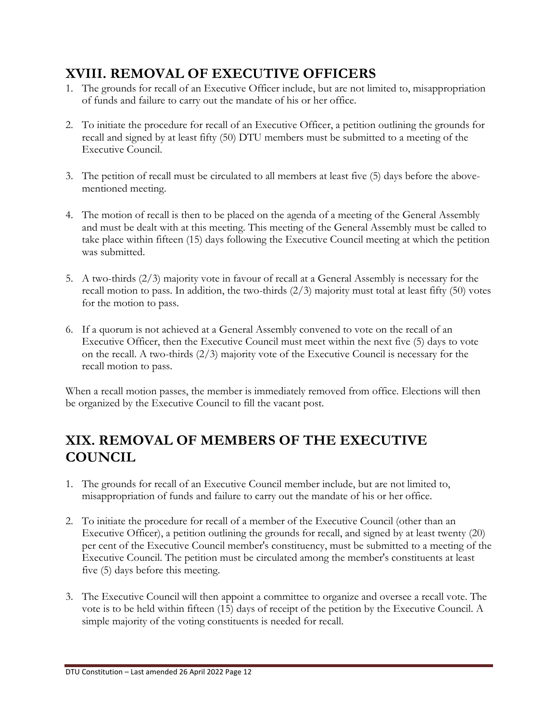# **XVIII. REMOVAL OF EXECUTIVE OFFICERS**

- 1. The grounds for recall of an Executive Officer include, but are not limited to, misappropriation of funds and failure to carry out the mandate of his or her office.
- 2. To initiate the procedure for recall of an Executive Officer, a petition outlining the grounds for recall and signed by at least fifty (50) DTU members must be submitted to a meeting of the Executive Council.
- 3. The petition of recall must be circulated to all members at least five (5) days before the abovementioned meeting.
- 4. The motion of recall is then to be placed on the agenda of a meeting of the General Assembly and must be dealt with at this meeting. This meeting of the General Assembly must be called to take place within fifteen (15) days following the Executive Council meeting at which the petition was submitted.
- 5. A two-thirds (2/3) majority vote in favour of recall at a General Assembly is necessary for the recall motion to pass. In addition, the two-thirds (2/3) majority must total at least fifty (50) votes for the motion to pass.
- 6. If a quorum is not achieved at a General Assembly convened to vote on the recall of an Executive Officer, then the Executive Council must meet within the next five (5) days to vote on the recall. A two-thirds (2/3) majority vote of the Executive Council is necessary for the recall motion to pass.

When a recall motion passes, the member is immediately removed from office. Elections will then be organized by the Executive Council to fill the vacant post.

# **XIX. REMOVAL OF MEMBERS OF THE EXECUTIVE COUNCIL**

- 1. The grounds for recall of an Executive Council member include, but are not limited to, misappropriation of funds and failure to carry out the mandate of his or her office.
- 2. To initiate the procedure for recall of a member of the Executive Council (other than an Executive Officer), a petition outlining the grounds for recall, and signed by at least twenty (20) per cent of the Executive Council member's constituency, must be submitted to a meeting of the Executive Council. The petition must be circulated among the member's constituents at least five (5) days before this meeting.
- 3. The Executive Council will then appoint a committee to organize and oversee a recall vote. The vote is to be held within fifteen (15) days of receipt of the petition by the Executive Council. A simple majority of the voting constituents is needed for recall.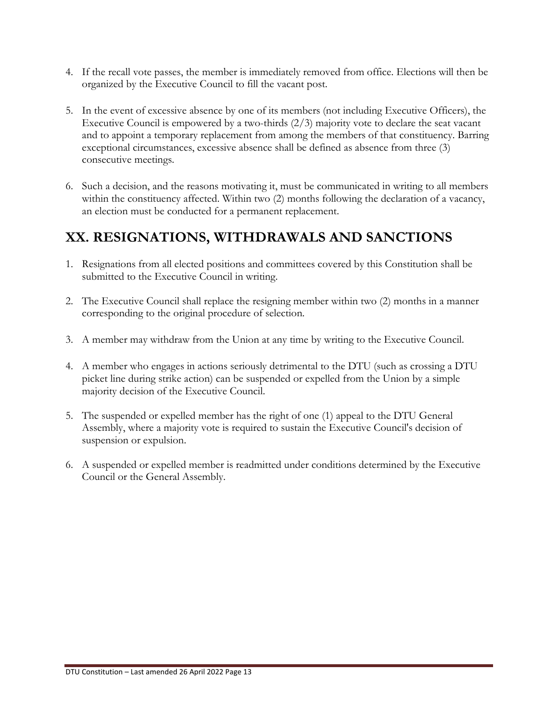- 4. If the recall vote passes, the member is immediately removed from office. Elections will then be organized by the Executive Council to fill the vacant post.
- 5. In the event of excessive absence by one of its members (not including Executive Officers), the Executive Council is empowered by a two-thirds  $(2/3)$  majority vote to declare the seat vacant and to appoint a temporary replacement from among the members of that constituency. Barring exceptional circumstances, excessive absence shall be defined as absence from three (3) consecutive meetings.
- 6. Such a decision, and the reasons motivating it, must be communicated in writing to all members within the constituency affected. Within two (2) months following the declaration of a vacancy, an election must be conducted for a permanent replacement.

# **XX. RESIGNATIONS, WITHDRAWALS AND SANCTIONS**

- 1. Resignations from all elected positions and committees covered by this Constitution shall be submitted to the Executive Council in writing.
- 2. The Executive Council shall replace the resigning member within two (2) months in a manner corresponding to the original procedure of selection.
- 3. A member may withdraw from the Union at any time by writing to the Executive Council.
- 4. A member who engages in actions seriously detrimental to the DTU (such as crossing a DTU picket line during strike action) can be suspended or expelled from the Union by a simple majority decision of the Executive Council.
- 5. The suspended or expelled member has the right of one (1) appeal to the DTU General Assembly, where a majority vote is required to sustain the Executive Council's decision of suspension or expulsion.
- 6. A suspended or expelled member is readmitted under conditions determined by the Executive Council or the General Assembly.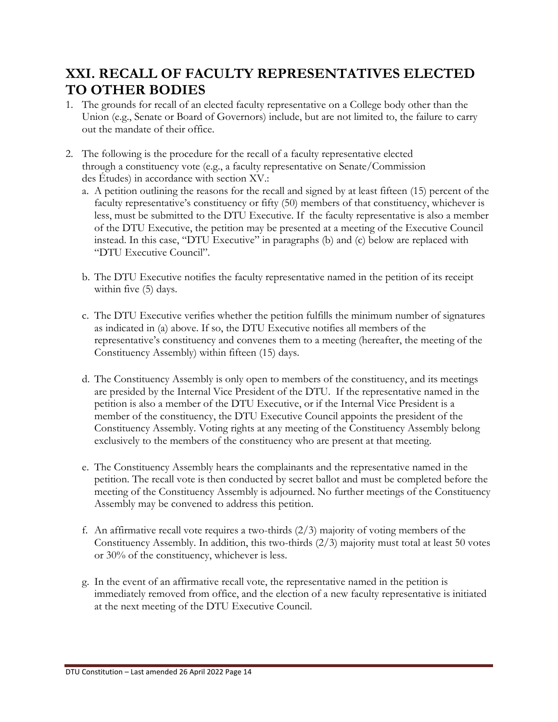## **XXI. RECALL OF FACULTY REPRESENTATIVES ELECTED TO OTHER BODIES**

- 1. The grounds for recall of an elected faculty representative on a College body other than the Union (e.g., Senate or Board of Governors) include, but are not limited to, the failure to carry out the mandate of their office.
- 2. The following is the procedure for the recall of a faculty representative elected through a constituency vote (e.g., a faculty representative on Senate/Commission des Études) in accordance with section XV.:
	- a. A petition outlining the reasons for the recall and signed by at least fifteen (15) percent of the faculty representative's constituency or fifty (50) members of that constituency, whichever is less, must be submitted to the DTU Executive. If the faculty representative is also a member of the DTU Executive, the petition may be presented at a meeting of the Executive Council instead. In this case, "DTU Executive" in paragraphs (b) and (c) below are replaced with "DTU Executive Council".
	- b. The DTU Executive notifies the faculty representative named in the petition of its receipt within five (5) days.
	- c. The DTU Executive verifies whether the petition fulfills the minimum number of signatures as indicated in (a) above. If so, the DTU Executive notifies all members of the representative's constituency and convenes them to a meeting (hereafter, the meeting of the Constituency Assembly) within fifteen (15) days.
	- d. The Constituency Assembly is only open to members of the constituency, and its meetings are presided by the Internal Vice President of the DTU. If the representative named in the petition is also a member of the DTU Executive, or if the Internal Vice President is a member of the constituency, the DTU Executive Council appoints the president of the Constituency Assembly. Voting rights at any meeting of the Constituency Assembly belong exclusively to the members of the constituency who are present at that meeting.
	- e. The Constituency Assembly hears the complainants and the representative named in the petition. The recall vote is then conducted by secret ballot and must be completed before the meeting of the Constituency Assembly is adjourned. No further meetings of the Constituency Assembly may be convened to address this petition.
	- f. An affirmative recall vote requires a two-thirds  $(2/3)$  majority of voting members of the Constituency Assembly. In addition, this two-thirds (2/3) majority must total at least 50 votes or 30% of the constituency, whichever is less.
	- g. In the event of an affirmative recall vote, the representative named in the petition is immediately removed from office, and the election of a new faculty representative is initiated at the next meeting of the DTU Executive Council.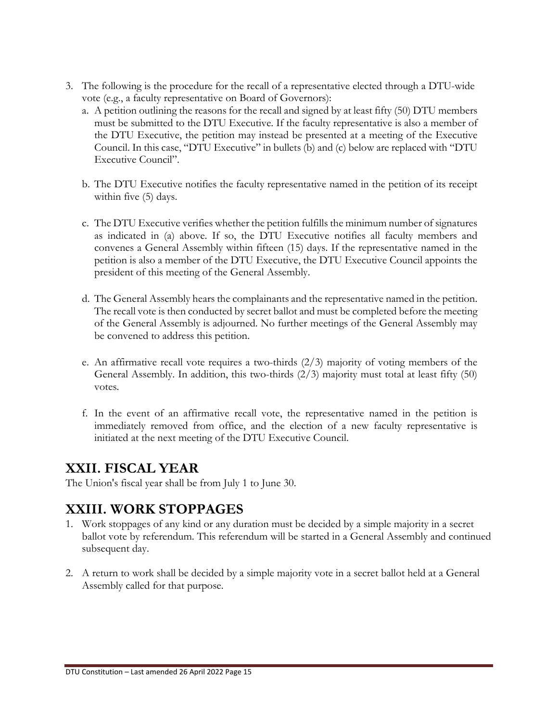- 3. The following is the procedure for the recall of a representative elected through a DTU-wide vote (e.g., a faculty representative on Board of Governors):
	- a. A petition outlining the reasons for the recall and signed by at least fifty (50) DTU members must be submitted to the DTU Executive. If the faculty representative is also a member of the DTU Executive, the petition may instead be presented at a meeting of the Executive Council. In this case, "DTU Executive" in bullets (b) and (c) below are replaced with "DTU Executive Council".
	- b. The DTU Executive notifies the faculty representative named in the petition of its receipt within five (5) days.
	- c. The DTU Executive verifies whether the petition fulfills the minimum number of signatures as indicated in (a) above. If so, the DTU Executive notifies all faculty members and convenes a General Assembly within fifteen (15) days. If the representative named in the petition is also a member of the DTU Executive, the DTU Executive Council appoints the president of this meeting of the General Assembly.
	- d. The General Assembly hears the complainants and the representative named in the petition. The recall vote is then conducted by secret ballot and must be completed before the meeting of the General Assembly is adjourned. No further meetings of the General Assembly may be convened to address this petition.
	- e. An affirmative recall vote requires a two-thirds (2/3) majority of voting members of the General Assembly. In addition, this two-thirds (2/3) majority must total at least fifty (50) votes.
	- f. In the event of an affirmative recall vote, the representative named in the petition is immediately removed from office, and the election of a new faculty representative is initiated at the next meeting of the DTU Executive Council.

#### **XXII. FISCAL YEAR**

The Union's fiscal year shall be from July 1 to June 30.

### **XXIII. WORK STOPPAGES**

- 1. Work stoppages of any kind or any duration must be decided by a simple majority in a secret ballot vote by referendum. This referendum will be started in a General Assembly and continued subsequent day.
- 2. A return to work shall be decided by a simple majority vote in a secret ballot held at a General Assembly called for that purpose.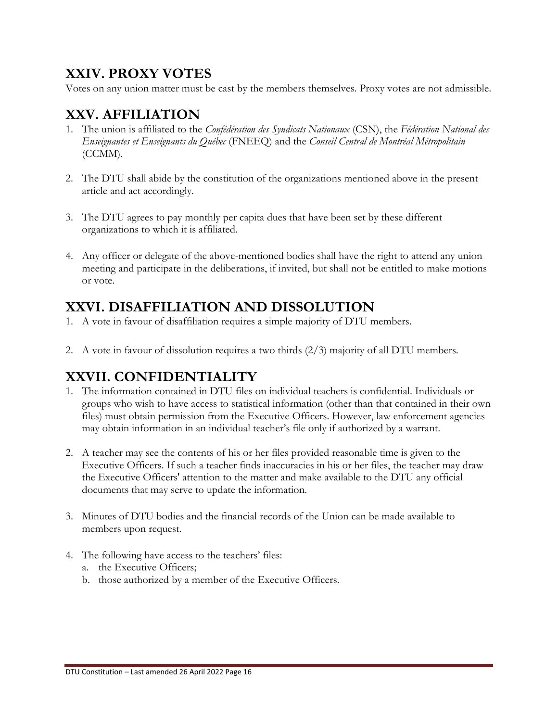## **XXIV. PROXY VOTES**

Votes on any union matter must be cast by the members themselves. Proxy votes are not admissible.

# **XXV. AFFILIATION**

- 1. The union is affiliated to the *Confédération des Syndicats Nationaux* (CSN), the *Fédération National des Enseignantes et Enseignants du Québec* (FNEEQ) and the *Conseil Central de Montréal Métropolitain* (CCMM).
- 2. The DTU shall abide by the constitution of the organizations mentioned above in the present article and act accordingly.
- 3. The DTU agrees to pay monthly per capita dues that have been set by these different organizations to which it is affiliated.
- 4. Any officer or delegate of the above-mentioned bodies shall have the right to attend any union meeting and participate in the deliberations, if invited, but shall not be entitled to make motions or vote.

## **XXVI. DISAFFILIATION AND DISSOLUTION**

- 1. A vote in favour of disaffiliation requires a simple majority of DTU members.
- 2. A vote in favour of dissolution requires a two thirds (2/3) majority of all DTU members.

### **XXVII. CONFIDENTIALITY**

- 1. The information contained in DTU files on individual teachers is confidential. Individuals or groups who wish to have access to statistical information (other than that contained in their own files) must obtain permission from the Executive Officers. However, law enforcement agencies may obtain information in an individual teacher's file only if authorized by a warrant.
- 2. A teacher may see the contents of his or her files provided reasonable time is given to the Executive Officers. If such a teacher finds inaccuracies in his or her files, the teacher may draw the Executive Officers' attention to the matter and make available to the DTU any official documents that may serve to update the information.
- 3. Minutes of DTU bodies and the financial records of the Union can be made available to members upon request.
- 4. The following have access to the teachers' files:
	- a. the Executive Officers;
	- b. those authorized by a member of the Executive Officers.